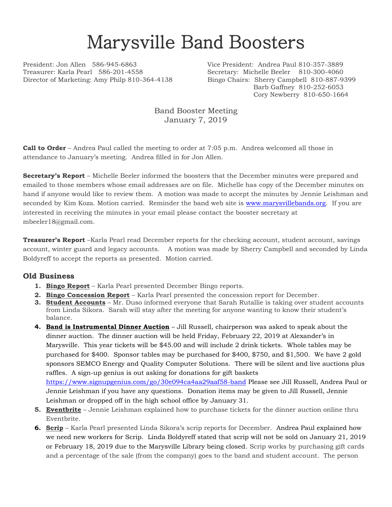## Marysville Band Boosters

Treasurer: Karla Pearl 586-201-4558 Secretary: Michelle Beeler 810-300-4060 Director of Marketing: Amy Philp 810-364-4138 Bingo Chairs: Sherry Campbell 810-887-9399

President: Jon Allen 586-945-6863 Vice President: Andrea Paul 810-357-3889 Barb Gaffney 810-252-6053 Cory Newberry 810-650-1664

> Band Booster Meeting January 7, 2019

**Call to Order** – Andrea Paul called the meeting to order at 7:05 p.m. Andrea welcomed all those in attendance to January's meeting. Andrea filled in for Jon Allen.

**Secretary's Report** – Michelle Beeler informed the boosters that the December minutes were prepared and emailed to those members whose email addresses are on file. Michelle has copy of the December minutes on hand if anyone would like to review them. A motion was made to accept the minutes by Jennie Leishman and seconded by Kim Koza. Motion carried. Reminder the band web site is [www.marysvillebands.org.](http://www.marysvillebands.org/) If you are interested in receiving the minutes in your email please contact the booster secretary at mbeeler18@gmail.com.

**Treasurer's Report** –Karla Pearl read December reports for the checking account, student account, savings account, winter guard and legacy accounts. A motion was made by Sherry Campbell and seconded by Linda Boldyreff to accept the reports as presented. Motion carried.

## **Old Business**

- **1. Bingo Report** Karla Pearl presented December Bingo reports.
- **2. Bingo Concession Report** Karla Pearl presented the concession report for December.
- **3. Student Accounts** Mr. Duso informed everyone that Sarah Rutallie is taking over student accounts from Linda Sikora. Sarah will stay after the meeting for anyone wanting to know their student's balance.
- **4. Band is Instrumental Dinner Auction** Jill Russell, chairperson was asked to speak about the dinner auction. The dinner auction will be held Friday, February 22, 2019 at Alexander's in Marysville. This year tickets will be \$45.00 and will include 2 drink tickets. Whole tables may be purchased for \$400. Sponsor tables may be purchased for \$400, \$750, and \$1,500. We have 2 gold sponsors SEMCO Energy and Quality Computer Solutions. There will be silent and live auctions plus raffles. A sign-up genius is out asking for donations for gift baskets <https://www.signupgenius.com/go/30e094ca4aa29aaf58-band> Please see Jill Russell, Andrea Paul or Jennie Leishman if you have any questions. Donation items may be given to Jill Russell, Jennie Leishman or dropped off in the high school office by January 31.
- **5. Eventbrite** Jennie Leishman explained how to purchase tickets for the dinner auction online thru Eventbrite.
- **6. Scrip** Karla Pearl presented Linda Sikora's scrip reports for December. Andrea Paul explained how we need new workers for Scrip. Linda Boldyreff stated that scrip will not be sold on January 21, 2019 or February 18, 2019 due to the Marysville Library being closed. Scrip works by purchasing gift cards and a percentage of the sale (from the company) goes to the band and student account. The person